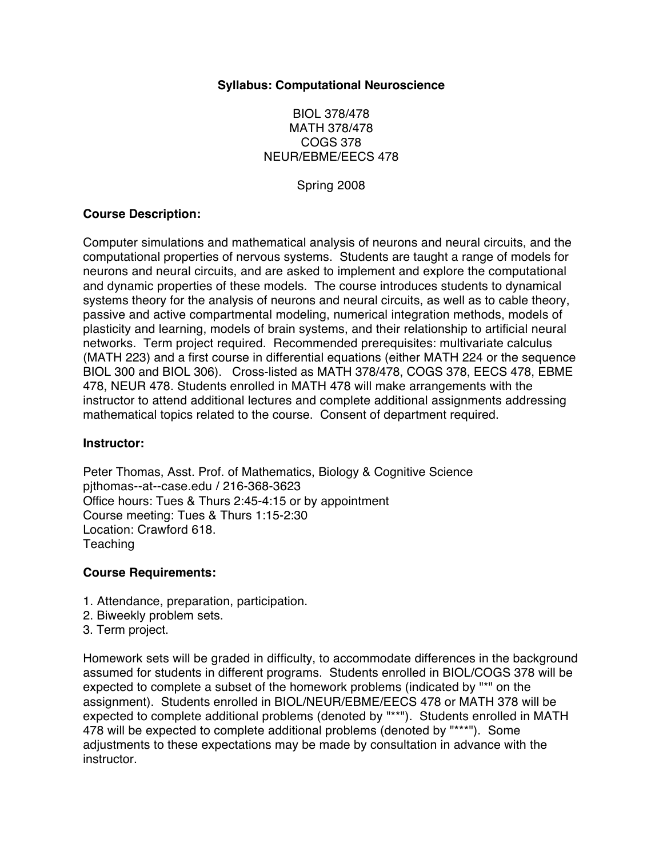#### **Syllabus: Computational Neuroscience**

## BIOL 378/478 MATH 378/478 COGS 378 NEUR/EBME/EECS 478

Spring 2008

#### **Course Description:**

Computer simulations and mathematical analysis of neurons and neural circuits, and the computational properties of nervous systems. Students are taught a range of models for neurons and neural circuits, and are asked to implement and explore the computational and dynamic properties of these models. The course introduces students to dynamical systems theory for the analysis of neurons and neural circuits, as well as to cable theory, passive and active compartmental modeling, numerical integration methods, models of plasticity and learning, models of brain systems, and their relationship to artificial neural networks. Term project required. Recommended prerequisites: multivariate calculus (MATH 223) and a first course in differential equations (either MATH 224 or the sequence BIOL 300 and BIOL 306). Cross-listed as MATH 378/478, COGS 378, EECS 478, EBME 478, NEUR 478. Students enrolled in MATH 478 will make arrangements with the instructor to attend additional lectures and complete additional assignments addressing mathematical topics related to the course. Consent of department required.

#### **Instructor:**

Peter Thomas, Asst. Prof. of Mathematics, Biology & Cognitive Science pjthomas--at--case.edu / 216-368-3623 Office hours: Tues & Thurs 2:45-4:15 or by appointment Course meeting: Tues & Thurs 1:15-2:30 Location: Crawford 618. **Teaching** 

## **Course Requirements:**

- 1. Attendance, preparation, participation.
- 2. Biweekly problem sets.
- 3. Term project.

Homework sets will be graded in difficulty, to accommodate differences in the background assumed for students in different programs. Students enrolled in BIOL/COGS 378 will be expected to complete a subset of the homework problems (indicated by "\*" on the assignment). Students enrolled in BIOL/NEUR/EBME/EECS 478 or MATH 378 will be expected to complete additional problems (denoted by "\*\*"). Students enrolled in MATH 478 will be expected to complete additional problems (denoted by "\*\*\*"). Some adjustments to these expectations may be made by consultation in advance with the instructor.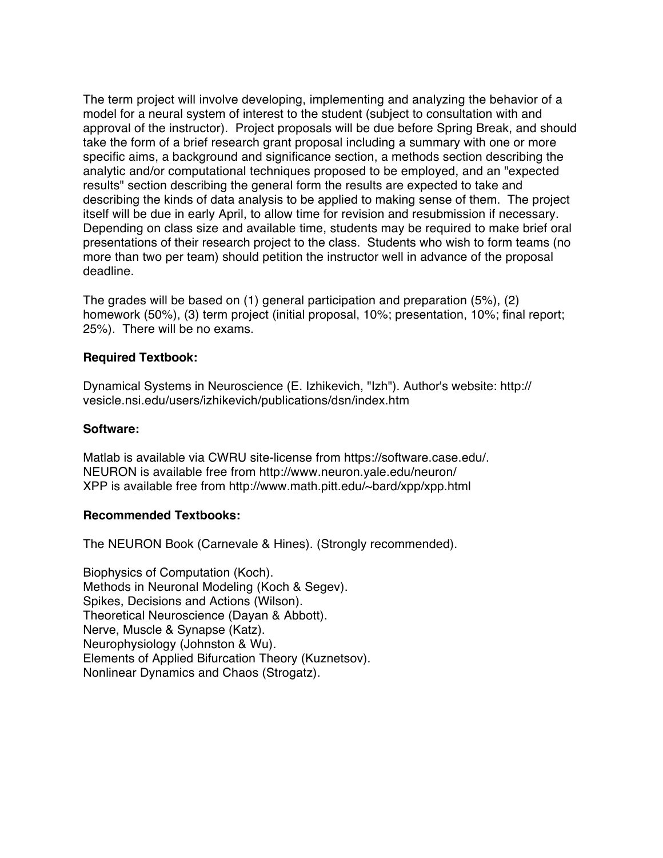The term project will involve developing, implementing and analyzing the behavior of a model for a neural system of interest to the student (subject to consultation with and approval of the instructor). Project proposals will be due before Spring Break, and should take the form of a brief research grant proposal including a summary with one or more specific aims, a background and significance section, a methods section describing the analytic and/or computational techniques proposed to be employed, and an "expected results" section describing the general form the results are expected to take and describing the kinds of data analysis to be applied to making sense of them. The project itself will be due in early April, to allow time for revision and resubmission if necessary. Depending on class size and available time, students may be required to make brief oral presentations of their research project to the class. Students who wish to form teams (no more than two per team) should petition the instructor well in advance of the proposal deadline.

The grades will be based on (1) general participation and preparation (5%), (2) homework (50%), (3) term project (initial proposal, 10%; presentation, 10%; final report; 25%). There will be no exams.

#### **Required Textbook:**

Dynamical Systems in Neuroscience (E. Izhikevich, "Izh"). Author's website: http:// vesicle.nsi.edu/users/izhikevich/publications/dsn/index.htm

#### **Software:**

Matlab is available via CWRU site-license from https://software.case.edu/. NEURON is available free from http://www.neuron.yale.edu/neuron/ XPP is available free from http://www.math.pitt.edu/~bard/xpp/xpp.html

#### **Recommended Textbooks:**

The NEURON Book (Carnevale & Hines). (Strongly recommended).

Biophysics of Computation (Koch). Methods in Neuronal Modeling (Koch & Segev). Spikes, Decisions and Actions (Wilson). Theoretical Neuroscience (Dayan & Abbott). Nerve, Muscle & Synapse (Katz). Neurophysiology (Johnston & Wu). Elements of Applied Bifurcation Theory (Kuznetsov). Nonlinear Dynamics and Chaos (Strogatz).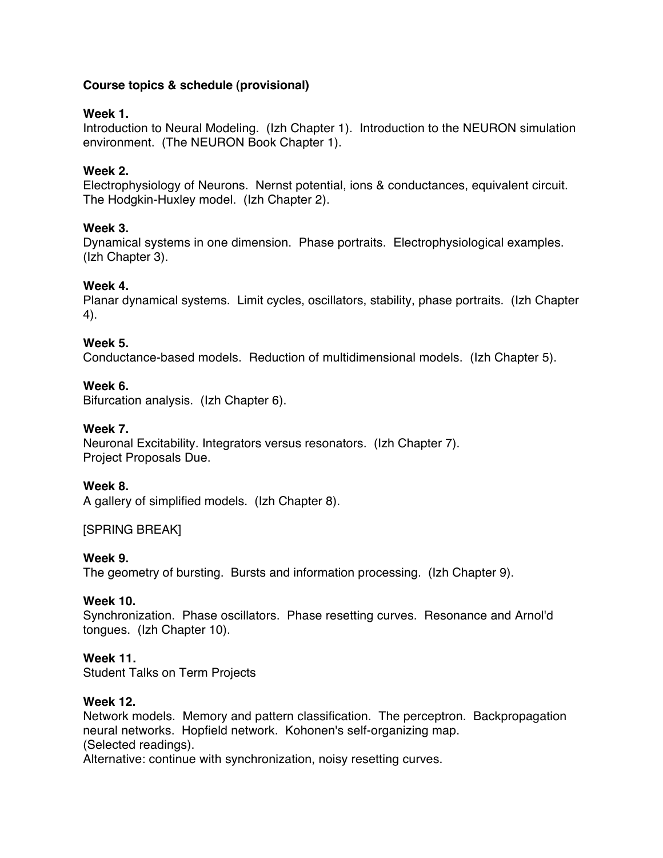# **Course topics & schedule (provisional)**

# **Week 1.**

Introduction to Neural Modeling. (Izh Chapter 1). Introduction to the NEURON simulation environment. (The NEURON Book Chapter 1).

# **Week 2.**

Electrophysiology of Neurons. Nernst potential, ions & conductances, equivalent circuit. The Hodgkin-Huxley model. (Izh Chapter 2).

# **Week 3.**

Dynamical systems in one dimension. Phase portraits. Electrophysiological examples. (Izh Chapter 3).

# **Week 4.**

Planar dynamical systems. Limit cycles, oscillators, stability, phase portraits. (Izh Chapter 4).

## **Week 5.**

Conductance-based models. Reduction of multidimensional models. (Izh Chapter 5).

## **Week 6.**

Bifurcation analysis. (Izh Chapter 6).

# **Week 7.**

Neuronal Excitability. Integrators versus resonators. (Izh Chapter 7). Project Proposals Due.

## **Week 8.**

A gallery of simplified models. (Izh Chapter 8).

## [SPRING BREAK]

## **Week 9.**

The geometry of bursting. Bursts and information processing. (Izh Chapter 9).

## **Week 10.**

Synchronization. Phase oscillators. Phase resetting curves. Resonance and Arnol'd tongues. (Izh Chapter 10).

## **Week 11.**

Student Talks on Term Projects

## **Week 12.**

Network models. Memory and pattern classification. The perceptron. Backpropagation neural networks. Hopfield network. Kohonen's self-organizing map. (Selected readings). Alternative: continue with synchronization, noisy resetting curves.